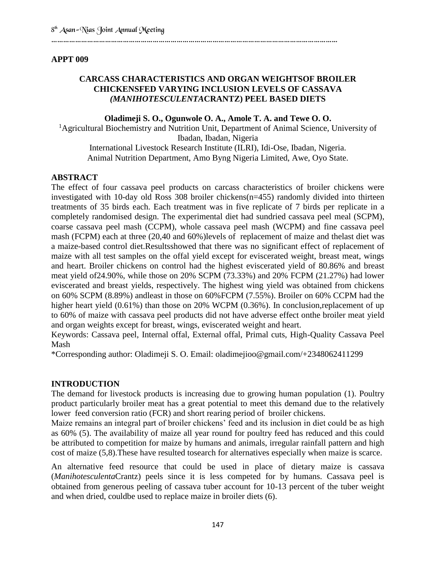#### ……………………………………………………………………………………………………………………………...

#### **APPT 009**

# **CARCASS CHARACTERISTICS AND ORGAN WEIGHTSOF BROILER CHICKENSFED VARYING INCLUSION LEVELS OF CASSAVA**  *(MANIHOTESCULENTA***CRANTZ) PEEL BASED DIETS**

#### **Oladimeji S. O., Ogunwole O. A., Amole T. A. and Tewe O. O.**

<sup>1</sup>Agricultural Biochemistry and Nutrition Unit, Department of Animal Science, University of Ibadan, Ibadan, Nigeria International Livestock Research Institute (ILRI), Idi-Ose, Ibadan, Nigeria. Animal Nutrition Department, Amo Byng Nigeria Limited, Awe, Oyo State.

#### **ABSTRACT**

The effect of four cassava peel products on carcass characteristics of broiler chickens were investigated with 10-day old Ross 308 broiler chickens(n=455) randomly divided into thirteen treatments of 35 birds each. Each treatment was in five replicate of 7 birds per replicate in a completely randomised design. The experimental diet had sundried cassava peel meal (SCPM), coarse cassava peel mash (CCPM), whole cassava peel mash (WCPM) and fine cassava peel mash (FCPM) each at three (20,40 and 60%)levels of replacement of maize and thelast diet was a maize-based control diet.Resultsshowed that there was no significant effect of replacement of maize with all test samples on the offal yield except for eviscerated weight, breast meat, wings and heart. Broiler chickens on control had the highest eviscerated yield of 80.86% and breast meat yield of24.90%, while those on 20% SCPM (73.33%) and 20% FCPM (21.27%) had lower eviscerated and breast yields, respectively. The highest wing yield was obtained from chickens on 60% SCPM (8.89%) andleast in those on 60%FCPM (7.55%). Broiler on 60% CCPM had the higher heart yield (0.61%) than those on 20% WCPM (0.36%). In conclusion,replacement of up to 60% of maize with cassava peel products did not have adverse effect onthe broiler meat yield and organ weights except for breast, wings, eviscerated weight and heart.

Keywords: Cassava peel, Internal offal, External offal, Primal cuts, High-Quality Cassava Peel Mash

\*Corresponding author: Oladimeji S. O. Email: oladimejioo@gmail.com/+2348062411299

# **INTRODUCTION**

The demand for livestock products is increasing due to growing human population (1). Poultry product particularly broiler meat has a great potential to meet this demand due to the relatively lower feed conversion ratio (FCR) and short rearing period of broiler chickens.

Maize remains an integral part of broiler chickens' feed and its inclusion in diet could be as high as 60% (5). The availability of maize all year round for poultry feed has reduced and this could be attributed to competition for maize by humans and animals, irregular rainfall pattern and high cost of maize (5,8).These have resulted tosearch for alternatives especially when maize is scarce.

An alternative feed resource that could be used in place of dietary maize is cassava (*Manihotesculenta*Crantz) peels since it is less competed for by humans. Cassava peel is obtained from generous peeling of cassava tuber account for 10-13 percent of the tuber weight and when dried, couldbe used to replace maize in broiler diets (6).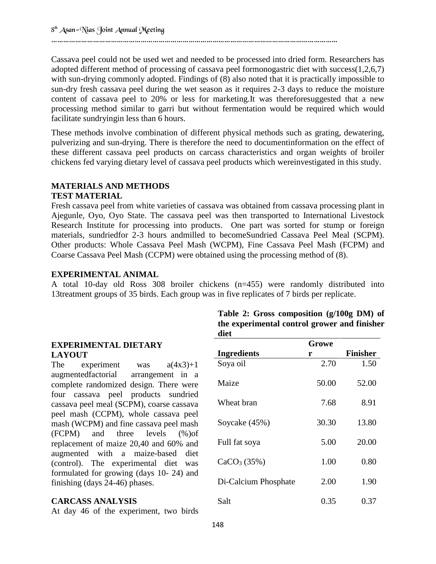……………………………………………………………………………………………………………………………...

Cassava peel could not be used wet and needed to be processed into dried form. Researchers has adopted different method of processing of cassava peel formonogastric diet with success(1,2,6,7) with sun-drying commonly adopted. Findings of (8) also noted that it is practically impossible to sun-dry fresh cassava peel during the wet season as it requires 2-3 days to reduce the moisture content of cassava peel to 20% or less for marketing.It was thereforesuggested that a new processing method similar to garri but without fermentation would be required which would facilitate sundryingin less than 6 hours.

These methods involve combination of different physical methods such as grating, dewatering, pulverizing and sun-drying. There is therefore the need to documentinformation on the effect of these different cassava peel products on carcass characteristics and organ weights of broiler chickens fed varying dietary level of cassava peel products which wereinvestigated in this study.

# **MATERIALS AND METHODS TEST MATERIAL**

Fresh cassava peel from white varieties of cassava was obtained from cassava processing plant in Ajegunle, Oyo, Oyo State. The cassava peel was then transported to International Livestock Research Institute for processing into products. One part was sorted for stump or foreign materials, sundriedfor 2-3 hours andmilled to becomeSundried Cassava Peel Meal (SCPM). Other products: Whole Cassava Peel Mash (WCPM), Fine Cassava Peel Mash (FCPM) and Coarse Cassava Peel Mash (CCPM) were obtained using the processing method of (8).

# **EXPERIMENTAL ANIMAL**

A total 10-day old Ross 308 broiler chickens (n=455) were randomly distributed into 13treatment groups of 35 birds. Each group was in five replicates of 7 birds per replicate.

#### **Table 2: Gross composition (g/100g DM) of the experimental control grower and finisher diet EXPERIMENTAL DIETARY LAYOUT** The experiment was  $a(4x3)+1$ augmentedfactorial arrangement in a complete randomized design. There were four cassava peel products sundried cassava peel meal (SCPM), coarse cassava peel mash (CCPM), whole cassava peel mash (WCPM) and fine cassava peel mash (FCPM) and three levels (%)of replacement of maize 20,40 and 60% and augmented with a maize-based diet (control). The experimental diet was formulated for growing (days 10- 24) and finishing (days 24-46) phases. **Ingredients Growe r Finisher** Soya oil 2.70 1.50 Maize 50.00 52.00 Wheat bran 7.68 8.91 Soycake (45%) 30.30 13.80 Full fat soya  $5.00$   $20.00$  $CaCO<sub>3</sub> (35%)$  1.00 0.80 Di-Calcium Phosphate 2.00 1.90

#### **CARCASS ANALYSIS**

At day 46 of the experiment, two birds

| - - <i>- .</i> . - <b>.</b> |      |      |
|-----------------------------|------|------|
| Di-Calcium Phosphate        | 2.00 | 1.90 |
| Salt                        | 0.35 | 0.37 |
|                             |      |      |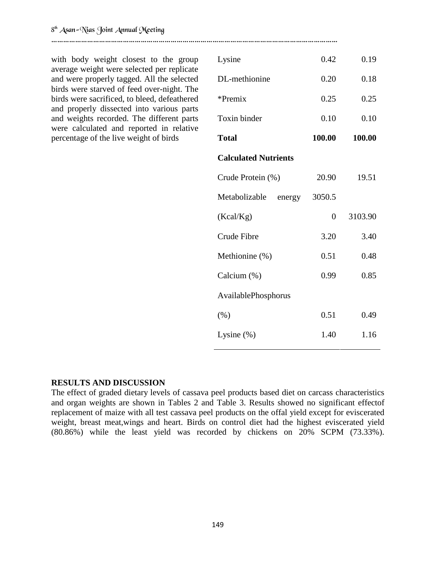with body weight closest to the group average weight were selected per replicate and were properly tagged. All the selected birds were starved of feed over-night. The birds were sacrificed, to bleed, defeathered and properly dissected into various parts and weights recorded. The different parts were calculated and reported in relative percentage of the live weight of birds

……………………………………………………………………………………………………………………………...

| Lysine                      | 0.42           | 0.19    |  |  |
|-----------------------------|----------------|---------|--|--|
| DL-methionine               | 0.20           | 0.18    |  |  |
| $*$ Premix                  | 0.25           | 0.25    |  |  |
| Toxin binder                | 0.10           | 0.10    |  |  |
| <b>Total</b>                | 100.00         | 100.00  |  |  |
| <b>Calculated Nutrients</b> |                |         |  |  |
| Crude Protein (%)           | 20.90          | 19.51   |  |  |
| Metabolizable<br>energy     | 3050.5         |         |  |  |
| (Kcal/Kg)                   | $\overline{0}$ | 3103.90 |  |  |
| Crude Fibre                 | 3.20           | 3.40    |  |  |
| Methionine (%)              | 0.51           | 0.48    |  |  |
| Calcium (%)                 | 0.99           | 0.85    |  |  |
| AvailablePhosphorus         |                |         |  |  |
| (% )                        | 0.51           | 0.49    |  |  |
| Lysine $(\%)$               | 1.40           | 1.16    |  |  |

#### **RESULTS AND DISCUSSION**

The effect of graded dietary levels of cassava peel products based diet on carcass characteristics and organ weights are shown in Tables 2 and Table 3. Results showed no significant effectof replacement of maize with all test cassava peel products on the offal yield except for eviscerated weight, breast meat,wings and heart. Birds on control diet had the highest eviscerated yield (80.86%) while the least yield was recorded by chickens on 20% SCPM (73.33%).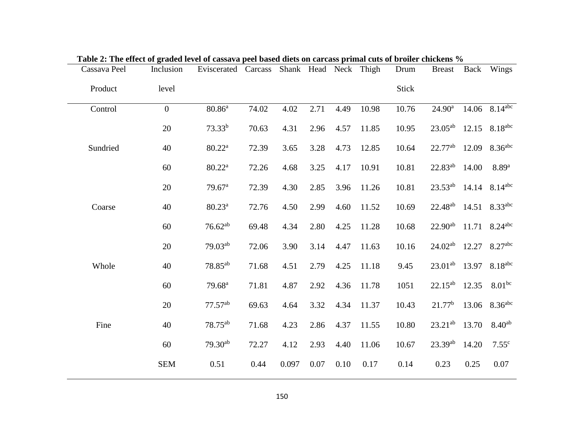| Table 2. The effect of graded level of cassava peer based thets on carcass primal cuts of broner chickens 70<br>Cassava Peel | Inclusion      | Eviscerated Carcass |       | Shank Head Neck Thigh |      |      |       | Drum         | <b>Breast</b>       | Back  | Wings                         |
|------------------------------------------------------------------------------------------------------------------------------|----------------|---------------------|-------|-----------------------|------|------|-------|--------------|---------------------|-------|-------------------------------|
| Product                                                                                                                      | level          |                     |       |                       |      |      |       | <b>Stick</b> |                     |       |                               |
| Control                                                                                                                      | $\overline{0}$ | $80.86^{a}$         | 74.02 | 4.02                  | 2.71 | 4.49 | 10.98 | 10.76        | $24.90^{\rm a}$     |       | 14.06 $8.\overline{14^{abc}}$ |
|                                                                                                                              | 20             | $73.33^{b}$         | 70.63 | 4.31                  | 2.96 | 4.57 | 11.85 | 10.95        | $23.05^{ab}$        |       | 12.15 8.18 <sup>abc</sup>     |
| Sundried                                                                                                                     | 40             | $80.22^{\text{a}}$  | 72.39 | 3.65                  | 3.28 | 4.73 | 12.85 | 10.64        | $22.77^{ab}$        | 12.09 | 8.36 <sup>abc</sup>           |
|                                                                                                                              | 60             | $80.22^{\text{a}}$  | 72.26 | 4.68                  | 3.25 | 4.17 | 10.91 | 10.81        | $22.83^{ab}$        | 14.00 | 8.89 <sup>a</sup>             |
|                                                                                                                              | 20             | 79.67 <sup>a</sup>  | 72.39 | 4.30                  | 2.85 | 3.96 | 11.26 | 10.81        | $23.53^{ab}$        |       | 14.14 $8.14^{abc}$            |
| Coarse                                                                                                                       | 40             | $80.23^a$           | 72.76 | 4.50                  | 2.99 | 4.60 | 11.52 | 10.69        | 22.48 <sup>ab</sup> | 14.51 | 8.33 <sup>abc</sup>           |
|                                                                                                                              | 60             | $76.62^{ab}$        | 69.48 | 4.34                  | 2.80 | 4.25 | 11.28 | 10.68        | $22.90^{ab}$        |       | 11.71 $8.24^{abc}$            |
|                                                                                                                              | 20             | $79.03^{ab}$        | 72.06 | 3.90                  | 3.14 | 4.47 | 11.63 | 10.16        | $24.02^{ab}$        | 12.27 | 8.27 <sup>abc</sup>           |
| Whole                                                                                                                        | 40             | 78.85 <sup>ab</sup> | 71.68 | 4.51                  | 2.79 | 4.25 | 11.18 | 9.45         | $23.01^{ab}$        |       | 13.97 8.18abc                 |
|                                                                                                                              | 60             | 79.68 <sup>a</sup>  | 71.81 | 4.87                  | 2.92 | 4.36 | 11.78 | 1051         | $22.15^{ab}$        | 12.35 | $8.01^{bc}$                   |
|                                                                                                                              | 20             | $77.57^{ab}$        | 69.63 | 4.64                  | 3.32 | 4.34 | 11.37 | 10.43        | 21.77 <sup>b</sup>  | 13.06 | 8.36 <sup>abc</sup>           |
| Fine                                                                                                                         | 40             | 78.75 <sup>ab</sup> | 71.68 | 4.23                  | 2.86 | 4.37 | 11.55 | 10.80        | $23.21^{ab}$        | 13.70 | $8.40^{ab}$                   |
|                                                                                                                              | 60             | $79.30^{ab}$        | 72.27 | 4.12                  | 2.93 | 4.40 | 11.06 | 10.67        | $23.39^{ab}$        | 14.20 | 7.55 <sup>c</sup>             |
|                                                                                                                              | <b>SEM</b>     | 0.51                | 0.44  | 0.097                 | 0.07 | 0.10 | 0.17  | 0.14         | 0.23                | 0.25  | 0.07                          |

|  | Table 2: The effect of graded level of cassava peel based diets on carcass primal cuts of broiler chickens % |
|--|--------------------------------------------------------------------------------------------------------------|
|  |                                                                                                              |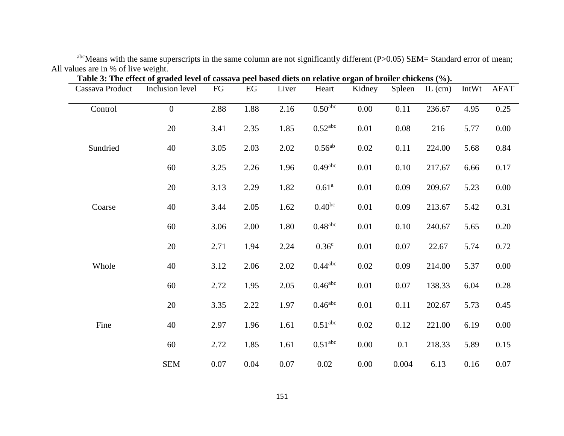abcMeans with the same superscripts in the same column are not significantly different (P>0.05) SEM= Standard error of mean; All values are in % of live weight.

| Cassava Product | Inclusion level  | FG   | $\mathop{\mathrm{EG}}\nolimits$ | Liver    | Heart                 | auca icycl of cassava peci basca ulcis on felatryc of gan of broner emenciis (707)<br>Kidney | Spleen | $IL$ (cm) | IntWt | <b>AFAT</b> |
|-----------------|------------------|------|---------------------------------|----------|-----------------------|----------------------------------------------------------------------------------------------|--------|-----------|-------|-------------|
| Control         | $\boldsymbol{0}$ | 2.88 | 1.88                            | 2.16     | 0.50 <sup>abc</sup>   | 0.00                                                                                         | 0.11   | 236.67    | 4.95  | 0.25        |
|                 | 20               | 3.41 | 2.35                            | 1.85     | $0.52$ <sup>abc</sup> | 0.01                                                                                         | 0.08   | 216       | 5.77  | 0.00        |
| Sundried        | 40               | 3.05 | 2.03                            | 2.02     | $0.56^{ab}$           | 0.02                                                                                         | 0.11   | 224.00    | 5.68  | 0.84        |
|                 | 60               | 3.25 | 2.26                            | 1.96     | $0.49$ <sup>abc</sup> | 0.01                                                                                         | 0.10   | 217.67    | 6.66  | 0.17        |
|                 | 20               | 3.13 | 2.29                            | 1.82     | $0.61^{\rm a}$        | 0.01                                                                                         | 0.09   | 209.67    | 5.23  | $0.00\,$    |
| Coarse          | 40               | 3.44 | 2.05                            | 1.62     | $0.40^{bc}$           | 0.01                                                                                         | 0.09   | 213.67    | 5.42  | 0.31        |
|                 | 60               | 3.06 | 2.00                            | 1.80     | $0.48$ <sup>abc</sup> | 0.01                                                                                         | 0.10   | 240.67    | 5.65  | 0.20        |
|                 | 20               | 2.71 | 1.94                            | 2.24     | 0.36 <sup>c</sup>     | 0.01                                                                                         | 0.07   | 22.67     | 5.74  | 0.72        |
| Whole           | 40               | 3.12 | 2.06                            | 2.02     | $0.44$ <sup>abc</sup> | 0.02                                                                                         | 0.09   | 214.00    | 5.37  | 0.00        |
|                 | 60               | 2.72 | 1.95                            | 2.05     | $0.46$ <sup>abc</sup> | 0.01                                                                                         | 0.07   | 138.33    | 6.04  | 0.28        |
|                 | 20               | 3.35 | 2.22                            | 1.97     | $0.46$ <sup>abc</sup> | 0.01                                                                                         | 0.11   | 202.67    | 5.73  | 0.45        |
| Fine            | 40               | 2.97 | 1.96                            | 1.61     | 0.51 <sup>abc</sup>   | 0.02                                                                                         | 0.12   | 221.00    | 6.19  | 0.00        |
|                 | 60               | 2.72 | 1.85                            | 1.61     | 0.51 <sup>abc</sup>   | 0.00                                                                                         | 0.1    | 218.33    | 5.89  | 0.15        |
|                 | <b>SEM</b>       | 0.07 | 0.04                            | $0.07\,$ | 0.02                  | 0.00                                                                                         | 0.004  | 6.13      | 0.16  | $0.07\,$    |

| Table 3: The effect of graded level of cassava peel based diets on relative organ of broiler chickens (%). |  |  |
|------------------------------------------------------------------------------------------------------------|--|--|
|                                                                                                            |  |  |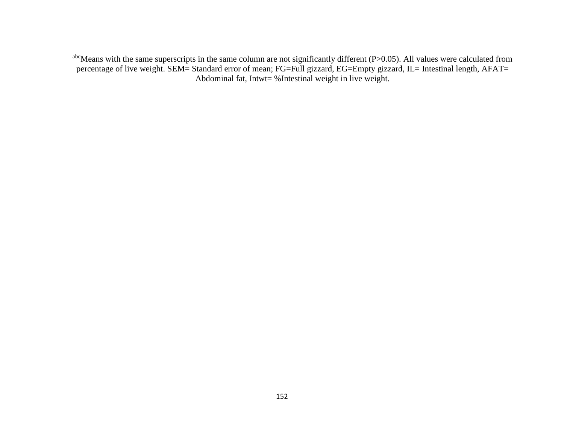abcMeans with the same superscripts in the same column are not significantly different (P>0.05). All values were calculated from percentage of live weight. SEM= Standard error of mean; FG=Full gizzard, EG=Empty gizzard, IL= Intestinal length, AFAT= Abdominal fat, Intwt= %Intestinal weight in live weight.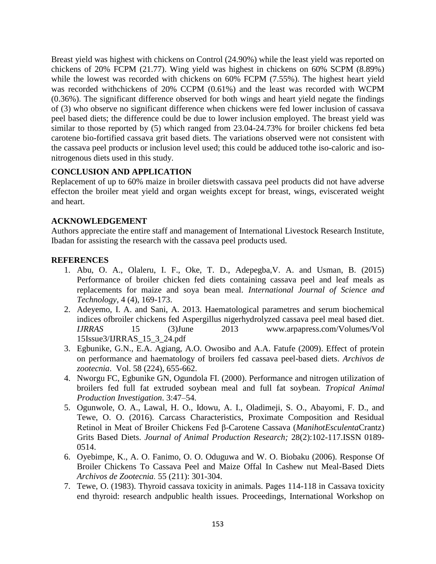Breast yield was highest with chickens on Control (24.90%) while the least yield was reported on chickens of 20% FCPM (21.77). Wing yield was highest in chickens on 60% SCPM (8.89%) while the lowest was recorded with chickens on 60% FCPM (7.55%). The highest heart yield was recorded withchickens of 20% CCPM (0.61%) and the least was recorded with WCPM (0.36%). The significant difference observed for both wings and heart yield negate the findings of (3) who observe no significant difference when chickens were fed lower inclusion of cassava peel based diets; the difference could be due to lower inclusion employed. The breast yield was similar to those reported by (5) which ranged from 23.04-24.73% for broiler chickens fed beta carotene bio-fortified cassava grit based diets. The variations observed were not consistent with the cassava peel products or inclusion level used; this could be adduced tothe iso-caloric and isonitrogenous diets used in this study.

# **CONCLUSION AND APPLICATION**

Replacement of up to 60% maize in broiler dietswith cassava peel products did not have adverse effecton the broiler meat yield and organ weights except for breast, wings, eviscerated weight and heart.

# **ACKNOWLEDGEMENT**

Authors appreciate the entire staff and management of International Livestock Research Institute, Ibadan for assisting the research with the cassava peel products used.

# **REFERENCES**

- 1. Abu, O. A., Olaleru, I. F., Oke, T. D., Adepegba,V. A. and Usman, B. (2015) Performance of broiler chicken fed diets containing cassava peel and leaf meals as replacements for maize and soya bean meal. *International Journal of Science and Technology,* 4 (4), 169-173.
- 2. Adeyemo, I. A. and Sani, A. 2013. Haematological parametres and serum biochemical indices ofbroiler chickens fed Aspergillus nigerhydrolyzed cassava peel meal based diet. *IJRRAS* 15 (3)June 2013 www.arpapress.com/Volumes/Vol 15Issue3/IJRRAS\_15\_3\_24.pdf
- 3. Egbunike, G.N., E.A. Agiang, A.O. Owosibo and A.A. Fatufe (2009). Effect of protein on performance and haematology of broilers fed cassava peel-based diets. *Archivos de zootecnia*. Vol. 58 (224), 655-662.
- 4. Nworgu FC, Egbunike GN, Ogundola FI. (2000). Performance and nitrogen utilization of broilers fed full fat extruded soybean meal and full fat soybean. *Tropical Animal Production Investigation*. 3:47–54.
- 5. Ogunwole, O. A., Lawal, H. O., Idowu, A. I., Oladimeji, S. O., Abayomi, F. D., and Tewe, O. O. (2016). Carcass Characteristics, Proximate Composition and Residual Retinol in Meat of Broiler Chickens Fed β-Carotene Cassava (*ManihotEsculenta*Crantz) Grits Based Diets. *Journal of Animal Production Research;* 28(2):102-117.ISSN 0189- 0514.
- 6. Oyebimpe, K., A. O. Fanimo, O. O. Oduguwa and W. O. Biobaku (2006). Response Of Broiler Chickens To Cassava Peel and Maize Offal In Cashew nut Meal-Based Diets *Archivos de Zootecnia.* 55 (211): 301-304.
- 7. Tewe, O. (1983). Thyroid cassava toxicity in animals. Pages 114-118 in Cassava toxicity end thyroid: research andpublic health issues. Proceedings, International Workshop on